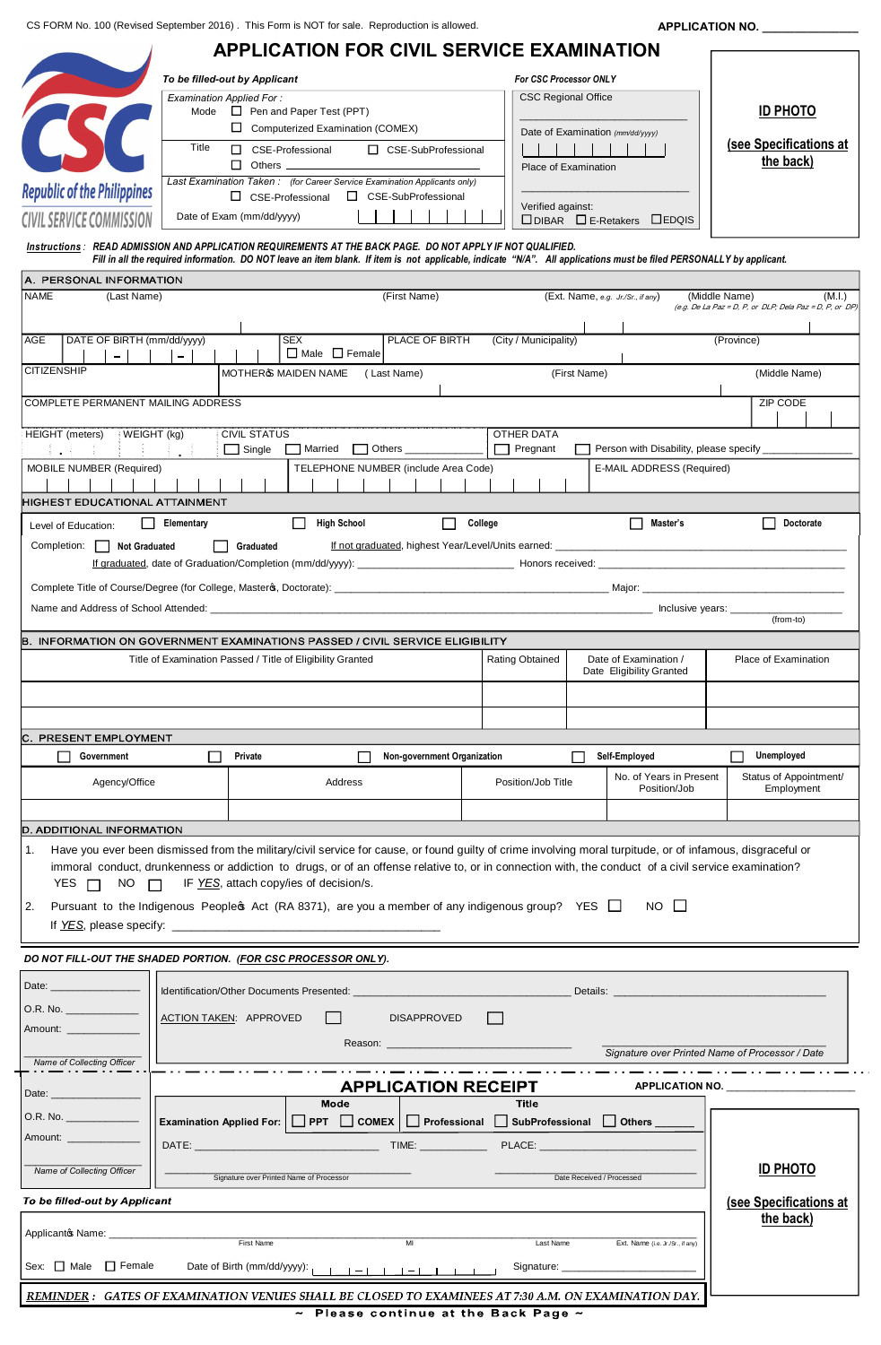Ner 2016).This Form is NOT for sale. Reproduction is allowed. **APPLICATION NO.**<br>APPLICATION FOR CIVIL SERVICE EXAMINATION CS FORM No. 100 (Revised September 2016) . This Form is NOT for sale. Reproduction is allowed.

|                                                                                                                                                            |                                              |                                                                                                                                                                                                                                                                                     | <b>APPLICATION FOR CIVIL SERVICE EXAMINATION</b>                                                                                                                                                                                                                                                                                                                                                                        |              |                                                                      |                                                        |                                                   |                                                         |                        |  |
|------------------------------------------------------------------------------------------------------------------------------------------------------------|----------------------------------------------|-------------------------------------------------------------------------------------------------------------------------------------------------------------------------------------------------------------------------------------------------------------------------------------|-------------------------------------------------------------------------------------------------------------------------------------------------------------------------------------------------------------------------------------------------------------------------------------------------------------------------------------------------------------------------------------------------------------------------|--------------|----------------------------------------------------------------------|--------------------------------------------------------|---------------------------------------------------|---------------------------------------------------------|------------------------|--|
|                                                                                                                                                            | To be filled-out by Applicant                |                                                                                                                                                                                                                                                                                     |                                                                                                                                                                                                                                                                                                                                                                                                                         |              | <b>For CSC Processor ONLY</b>                                        |                                                        |                                                   |                                                         |                        |  |
|                                                                                                                                                            | Title                                        | <b>Examination Applied For:</b><br><b>CSC Regional Office</b><br>Mode $\Box$ Pen and Paper Test (PPT)<br>$\Box$ Computerized Examination (COMEX)<br>Date of Examination (mm/dd/yyyy)<br>□ CSE-Professional<br>□ CSE-SubProfessional<br>$\Box$ Others $\Box$<br>Place of Examination |                                                                                                                                                                                                                                                                                                                                                                                                                         |              |                                                                      | <b>ID PHOTO</b><br>(see Specifications at<br>the back) |                                                   |                                                         |                        |  |
| <b>Republic of the Philippines</b><br><b>CIVIL SERVICE COMMISSION</b>                                                                                      |                                              | Date of Exam (mm/dd/yyyy)                                                                                                                                                                                                                                                           | Last Examination Taken: (for Career Service Examination Applicants only)<br>□ CSE-Professional<br>□ CSE-SubProfessional                                                                                                                                                                                                                                                                                                 |              | Verified against:                                                    |                                                        |                                                   |                                                         |                        |  |
| $\Box$ DIBAR $\Box$ E-Retakers $\Box$ EDQIS<br>Instructions: READ ADMISSION AND APPLICATION REQUIREMENTS AT THE BACK PAGE.  DO NOT APPLY IF NOT QUALIFIED. |                                              |                                                                                                                                                                                                                                                                                     |                                                                                                                                                                                                                                                                                                                                                                                                                         |              |                                                                      |                                                        |                                                   |                                                         |                        |  |
|                                                                                                                                                            |                                              |                                                                                                                                                                                                                                                                                     | Fill in all the required information. DO NOT leave an item blank. If item is not applicable, indicate "N/A". All applications must be filed PERSONALLY by applicant.                                                                                                                                                                                                                                                    |              |                                                                      |                                                        |                                                   |                                                         |                        |  |
| A. PERSONAL INFORMATION<br><b>NAME</b><br>(Last Name)                                                                                                      |                                              |                                                                                                                                                                                                                                                                                     | (First Name)                                                                                                                                                                                                                                                                                                                                                                                                            |              |                                                                      | (Ext. Name, e.g. Jr./Sr., if any)                      |                                                   | (Middle Name)                                           | (M.I.)                 |  |
|                                                                                                                                                            |                                              |                                                                                                                                                                                                                                                                                     |                                                                                                                                                                                                                                                                                                                                                                                                                         |              |                                                                      |                                                        |                                                   | (e.g. De La Paz = D, P, or DLP; Dela Paz = D, P, or DP) |                        |  |
| DATE OF BIRTH (mm/dd/yyyy)<br>AGE                                                                                                                          |                                              |                                                                                                                                                                                                                                                                                     | <b>SEX</b><br>PLACE OF BIRTH<br>$\Box$ Male $\Box$ Female                                                                                                                                                                                                                                                                                                                                                               |              | (City / Municipality)                                                |                                                        |                                                   | (Province)                                              |                        |  |
| $-$<br>$-$<br><b>CITIZENSHIP</b><br>MOTHERG MAIDEN NAME (Last Name)<br>(First Name)<br>(Middle Name)                                                       |                                              |                                                                                                                                                                                                                                                                                     |                                                                                                                                                                                                                                                                                                                                                                                                                         |              |                                                                      |                                                        |                                                   |                                                         |                        |  |
| <b>COMPLETE PERMANENT MAILING ADDRESS</b><br>ZIP CODE                                                                                                      |                                              |                                                                                                                                                                                                                                                                                     |                                                                                                                                                                                                                                                                                                                                                                                                                         |              |                                                                      |                                                        |                                                   |                                                         |                        |  |
|                                                                                                                                                            |                                              |                                                                                                                                                                                                                                                                                     |                                                                                                                                                                                                                                                                                                                                                                                                                         |              |                                                                      |                                                        |                                                   |                                                         |                        |  |
| HEIGHT (meters)                                                                                                                                            | WEIGHT (kg)<br>$\pm 1.1$                     | <b>CIVIL STATUS</b>                                                                                                                                                                                                                                                                 | Single Married Others ____________                                                                                                                                                                                                                                                                                                                                                                                      |              | <b>OTHER DATA</b><br>$\Box$ Pregnant                                 |                                                        | Person with Disability, please specify __________ |                                                         |                        |  |
| <b>MOBILE NUMBER (Required)</b>                                                                                                                            |                                              |                                                                                                                                                                                                                                                                                     | TELEPHONE NUMBER (include Area Code)                                                                                                                                                                                                                                                                                                                                                                                    |              |                                                                      |                                                        | E-MAIL ADDRESS (Required)                         |                                                         |                        |  |
| HIGHEST EDUCATIONAL ATTAINMENT                                                                                                                             |                                              |                                                                                                                                                                                                                                                                                     |                                                                                                                                                                                                                                                                                                                                                                                                                         |              |                                                                      |                                                        |                                                   |                                                         |                        |  |
| Level of Education:                                                                                                                                        | Elementary                                   |                                                                                                                                                                                                                                                                                     | $\Box$<br><b>High School</b>                                                                                                                                                                                                                                                                                                                                                                                            | College      |                                                                      |                                                        | $\Box$ Master's                                   |                                                         | Doctorate              |  |
| Completion: Not Graduated                                                                                                                                  |                                              | Graduated                                                                                                                                                                                                                                                                           | If not graduated, highest Year/Level/Units earned: <b>Example 2018</b> 2019 12:00:00 12:00:00 12:00:00 12:00:00 12:00:00 12:00:00 12:00:00 12:00:00 12:00:00 12:00:00 12:00:00 12:00:00 12:00:00 12:00:00 12:00:00 12:00:00 12:00:0                                                                                                                                                                                     |              |                                                                      |                                                        |                                                   |                                                         |                        |  |
|                                                                                                                                                            |                                              |                                                                                                                                                                                                                                                                                     |                                                                                                                                                                                                                                                                                                                                                                                                                         |              |                                                                      |                                                        |                                                   |                                                         |                        |  |
|                                                                                                                                                            |                                              |                                                                                                                                                                                                                                                                                     |                                                                                                                                                                                                                                                                                                                                                                                                                         |              |                                                                      |                                                        |                                                   |                                                         |                        |  |
|                                                                                                                                                            |                                              |                                                                                                                                                                                                                                                                                     |                                                                                                                                                                                                                                                                                                                                                                                                                         |              |                                                                      |                                                        |                                                   | $(from-to)$                                             |                        |  |
|                                                                                                                                                            |                                              |                                                                                                                                                                                                                                                                                     | B. INFORMATION ON GOVERNMENT EXAMINATIONS PASSED / CIVIL SERVICE ELIGIBILITY                                                                                                                                                                                                                                                                                                                                            |              |                                                                      |                                                        |                                                   |                                                         |                        |  |
| Title of Examination Passed / Title of Eligibility Granted                                                                                                 |                                              |                                                                                                                                                                                                                                                                                     |                                                                                                                                                                                                                                                                                                                                                                                                                         |              | Rating Obtained<br>Date of Examination /<br>Date Eligibility Granted |                                                        | Place of Examination                              |                                                         |                        |  |
|                                                                                                                                                            |                                              |                                                                                                                                                                                                                                                                                     |                                                                                                                                                                                                                                                                                                                                                                                                                         |              |                                                                      |                                                        |                                                   |                                                         |                        |  |
|                                                                                                                                                            |                                              |                                                                                                                                                                                                                                                                                     |                                                                                                                                                                                                                                                                                                                                                                                                                         |              |                                                                      |                                                        |                                                   |                                                         |                        |  |
| C. PRESENT EMPLOYMENT<br>Government                                                                                                                        | $\mathbf{I}$                                 | Private                                                                                                                                                                                                                                                                             | Non-government Organization                                                                                                                                                                                                                                                                                                                                                                                             |              |                                                                      | $\mathbf{L}$                                           | Self-Employed                                     | Unemployed                                              |                        |  |
|                                                                                                                                                            |                                              |                                                                                                                                                                                                                                                                                     | Address                                                                                                                                                                                                                                                                                                                                                                                                                 |              | Position/Job Title                                                   |                                                        | No. of Years in Present                           |                                                         | Status of Appointment/ |  |
|                                                                                                                                                            | Agency/Office                                |                                                                                                                                                                                                                                                                                     |                                                                                                                                                                                                                                                                                                                                                                                                                         |              |                                                                      |                                                        | Position/Job                                      | Employment                                              |                        |  |
|                                                                                                                                                            | D. ADDITIONAL INFORMATION                    |                                                                                                                                                                                                                                                                                     |                                                                                                                                                                                                                                                                                                                                                                                                                         |              |                                                                      |                                                        |                                                   |                                                         |                        |  |
| 1.<br>YES $\Box$ NO $\Box$ IF <u>YES</u> , attach copy/ies of decision/s.<br>2.                                                                            |                                              |                                                                                                                                                                                                                                                                                     | Have you ever been dismissed from the military/civil service for cause, or found guilty of crime involving moral turpitude, or of infamous, disgraceful or<br>immoral conduct, drunkenness or addiction to drugs, or of an offense relative to, or in connection with, the conduct of a civil service examination?<br>Pursuant to the Indigenous Peopleo Act (RA 8371), are you a member of any indigenous group? YES □ |              |                                                                      |                                                        | NO II                                             |                                                         |                        |  |
| DO NOT FILL-OUT THE SHADED PORTION. (FOR CSC PROCESSOR ONLY).                                                                                              |                                              |                                                                                                                                                                                                                                                                                     |                                                                                                                                                                                                                                                                                                                                                                                                                         |              |                                                                      |                                                        |                                                   |                                                         |                        |  |
|                                                                                                                                                            |                                              |                                                                                                                                                                                                                                                                                     |                                                                                                                                                                                                                                                                                                                                                                                                                         |              |                                                                      |                                                        |                                                   |                                                         |                        |  |
| O.R. No.                                                                                                                                                   | ACTION TAKEN: APPROVED<br><b>DISAPPROVED</b> |                                                                                                                                                                                                                                                                                     |                                                                                                                                                                                                                                                                                                                                                                                                                         |              |                                                                      |                                                        |                                                   |                                                         |                        |  |
| Amount:                                                                                                                                                    |                                              |                                                                                                                                                                                                                                                                                     |                                                                                                                                                                                                                                                                                                                                                                                                                         |              |                                                                      |                                                        |                                                   |                                                         |                        |  |
| Name of Collecting Officer                                                                                                                                 |                                              |                                                                                                                                                                                                                                                                                     |                                                                                                                                                                                                                                                                                                                                                                                                                         |              |                                                                      |                                                        | Signature over Printed Name of Processor / Date   |                                                         |                        |  |
| Date: ____________________                                                                                                                                 |                                              |                                                                                                                                                                                                                                                                                     | <b>APPLICATION RECEIPT</b>                                                                                                                                                                                                                                                                                                                                                                                              |              |                                                                      |                                                        |                                                   | APPLICATION NO. _______________________                 |                        |  |
| O.R. No. ______________                                                                                                                                    |                                              |                                                                                                                                                                                                                                                                                     | Mode<br>Examination Applied For: $\Box$ PPT $\Box$ COMEX $\Box$ Professional $\Box$ SubProfessional $\Box$ Others                                                                                                                                                                                                                                                                                                       |              | Title                                                                |                                                        |                                                   |                                                         |                        |  |
| Amount:                                                                                                                                                    | DATE:                                        |                                                                                                                                                                                                                                                                                     |                                                                                                                                                                                                                                                                                                                                                                                                                         | TIME: PLACE: |                                                                      |                                                        |                                                   |                                                         |                        |  |
| Name of Collecting Officer                                                                                                                                 |                                              |                                                                                                                                                                                                                                                                                     |                                                                                                                                                                                                                                                                                                                                                                                                                         |              |                                                                      |                                                        |                                                   | <b>ID PHOTO</b>                                         |                        |  |
| Signature over Printed Name of Processor<br>Date Received / Processed                                                                                      |                                              |                                                                                                                                                                                                                                                                                     |                                                                                                                                                                                                                                                                                                                                                                                                                         |              |                                                                      |                                                        |                                                   |                                                         |                        |  |
| To be filled-out by Applicant                                                                                                                              |                                              |                                                                                                                                                                                                                                                                                     |                                                                                                                                                                                                                                                                                                                                                                                                                         |              |                                                                      |                                                        |                                                   | (see Specifications at<br>the back)                     |                        |  |
| Applicantos Name: _____________                                                                                                                            |                                              | First Name                                                                                                                                                                                                                                                                          | MI                                                                                                                                                                                                                                                                                                                                                                                                                      |              | Last Name                                                            |                                                        | Ext. Name (i.e. Jr./Sr., if any)                  |                                                         |                        |  |
| Sex: $\Box$ Male $\Box$ Female<br>Date of Birth (mm/dd/yyyy): $\begin{array}{ccc} 1 & -1 & -1 \end{array}$<br>Signature: _____________                     |                                              |                                                                                                                                                                                                                                                                                     |                                                                                                                                                                                                                                                                                                                                                                                                                         |              |                                                                      |                                                        |                                                   |                                                         |                        |  |
|                                                                                                                                                            |                                              |                                                                                                                                                                                                                                                                                     |                                                                                                                                                                                                                                                                                                                                                                                                                         |              |                                                                      |                                                        |                                                   |                                                         |                        |  |
| REMINDER :   GATES OF EXAMINATION VENUES SHALL BE CLOSED TO EXAMINEES AT 7:30 A.M. ON EXAMINATION DAY.                                                     |                                              |                                                                                                                                                                                                                                                                                     |                                                                                                                                                                                                                                                                                                                                                                                                                         |              |                                                                      |                                                        |                                                   |                                                         |                        |  |